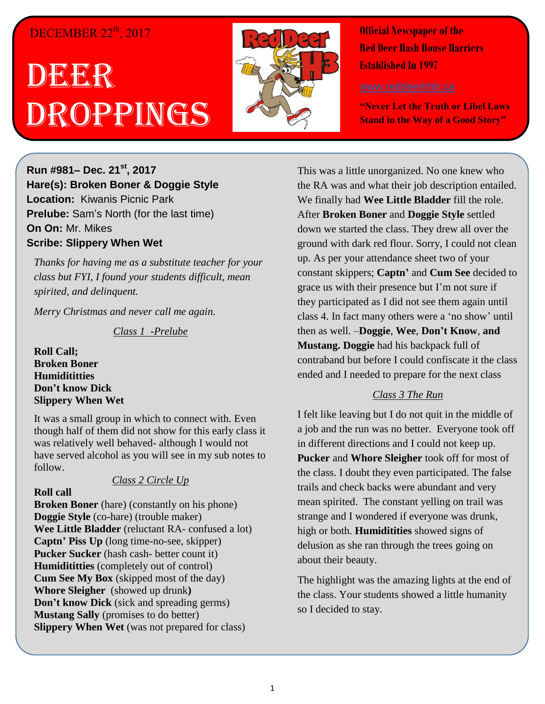# DECEMBER 22<sup>th</sup>, 2017

# DEGER Droppings



**Official Newspaper of the Red Deer Hash House Harriers Established In 1997** 

**"Never Let the Truth or Libel Laws Stand in the Way of a Good Story"**

**Run #981– Dec. 21st, 2017 Hare(s): Broken Boner & Doggie Style Location:** Kiwanis Picnic Park **Prelube:** Sam's North (for the last time) **On On:** Mr. Mikes **Scribe: Slippery When Wet**

*Thanks for having me as a substitute teacher for your class but FYI, I found your students difficult, mean spirited, and delinquent.* 

*Merry Christmas and never call me again.*

*Class 1 -Prelube*

**Roll Call; Broken Boner Humidititties Don't know Dick Slippery When Wet**

It was a small group in which to connect with. Even though half of them did not show for this early class it was relatively well behaved- although I would not have served alcohol as you will see in my sub notes to follow.

#### *Class 2 Circle Up*

#### **Roll call**

**Broken Boner** (hare) (constantly on his phone) **Doggie Style** (co-hare) (trouble maker) **Wee Little Bladder** (reluctant RA- confused a lot) **Captn' Piss Up** (long time-no-see, skipper) **Pucker Sucker** (hash cash- better count it) **Humidititties** (completely out of control) **Cum See My Box** (skipped most of the day) **Whore Sleigher** (showed up drunk**) Don't know Dick** (sick and spreading germs) **Mustang Sally** (promises to do better) **Slippery When Wet** (was not prepared for class)

This was a little unorganized. No one knew who the RA was and what their job description entailed. We finally had **Wee Little Bladder** fill the role. After **Broken Boner** and **Doggie Style** settled down we started the class. They drew all over the ground with dark red flour. Sorry, I could not clean up. As per your attendance sheet two of your constant skippers; **Captn'** and **Cum See** decided to grace us with their presence but I'm not sure if they participated as I did not see them again until class 4. In fact many others were a 'no show' until then as well. –**Doggie**, **Wee**, **Don't Know**, **and Mustang. Doggie** had his backpack full of contraband but before I could confiscate it the class ended and I needed to prepare for the next class

#### *Class 3 The Run*

I felt like leaving but I do not quit in the middle of a job and the run was no better. Everyone took off in different directions and I could not keep up. **Pucker** and **Whore Sleigher** took off for most of the class. I doubt they even participated. The false trails and check backs were abundant and very mean spirited. The constant yelling on trail was strange and I wondered if everyone was drunk, high or both. **Humiditities** showed signs of delusion as she ran through the trees going on about their beauty.

The highlight was the amazing lights at the end of the class. Your students showed a little humanity so I decided to stay.